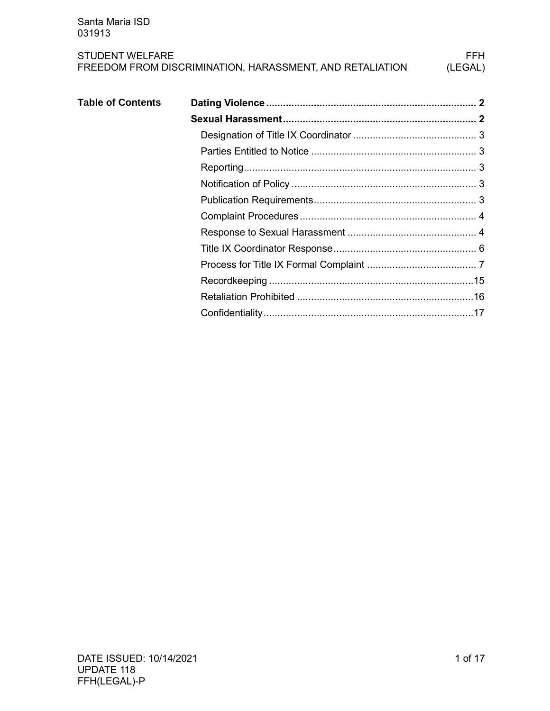| <b>Table of Contents</b> |  |
|--------------------------|--|
|                          |  |
|                          |  |
|                          |  |
|                          |  |
|                          |  |
|                          |  |
|                          |  |
|                          |  |
|                          |  |
|                          |  |
|                          |  |
|                          |  |
|                          |  |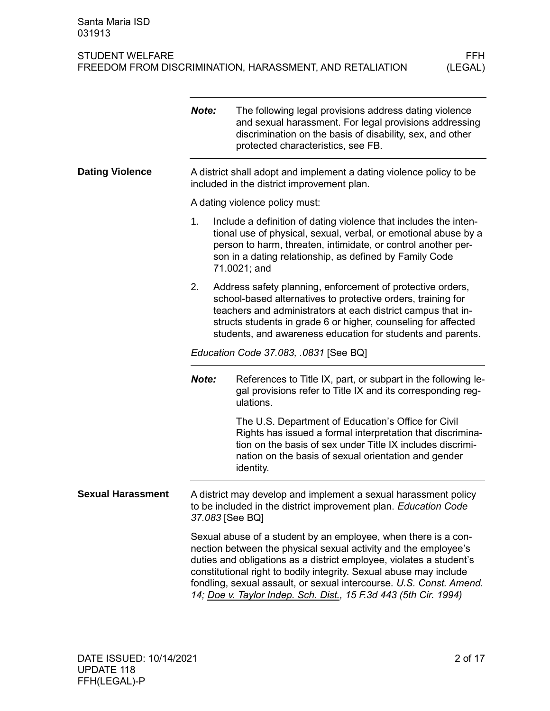<span id="page-1-1"></span><span id="page-1-0"></span>

|                          | Note:                                                                                                             | The following legal provisions address dating violence<br>and sexual harassment. For legal provisions addressing<br>discrimination on the basis of disability, sex, and other<br>protected characteristics, see FB.                                                                                                                                                                                                       |  |  |
|--------------------------|-------------------------------------------------------------------------------------------------------------------|---------------------------------------------------------------------------------------------------------------------------------------------------------------------------------------------------------------------------------------------------------------------------------------------------------------------------------------------------------------------------------------------------------------------------|--|--|
| <b>Dating Violence</b>   | A district shall adopt and implement a dating violence policy to be<br>included in the district improvement plan. |                                                                                                                                                                                                                                                                                                                                                                                                                           |  |  |
|                          |                                                                                                                   | A dating violence policy must:                                                                                                                                                                                                                                                                                                                                                                                            |  |  |
|                          | 1.                                                                                                                | Include a definition of dating violence that includes the inten-<br>tional use of physical, sexual, verbal, or emotional abuse by a<br>person to harm, threaten, intimidate, or control another per-<br>son in a dating relationship, as defined by Family Code<br>71.0021; and                                                                                                                                           |  |  |
|                          | 2.                                                                                                                | Address safety planning, enforcement of protective orders,<br>school-based alternatives to protective orders, training for<br>teachers and administrators at each district campus that in-<br>structs students in grade 6 or higher, counseling for affected<br>students, and awareness education for students and parents.                                                                                               |  |  |
|                          | Education Code 37.083, .0831 [See BQ]                                                                             |                                                                                                                                                                                                                                                                                                                                                                                                                           |  |  |
|                          | Note:                                                                                                             | References to Title IX, part, or subpart in the following le-<br>gal provisions refer to Title IX and its corresponding reg-<br>ulations.                                                                                                                                                                                                                                                                                 |  |  |
|                          |                                                                                                                   | The U.S. Department of Education's Office for Civil<br>Rights has issued a formal interpretation that discrimina-<br>tion on the basis of sex under Title IX includes discrimi-<br>nation on the basis of sexual orientation and gender<br>identity.                                                                                                                                                                      |  |  |
| <b>Sexual Harassment</b> | 37.083 [See BQ]                                                                                                   | A district may develop and implement a sexual harassment policy<br>to be included in the district improvement plan. Education Code                                                                                                                                                                                                                                                                                        |  |  |
|                          |                                                                                                                   | Sexual abuse of a student by an employee, when there is a con-<br>nection between the physical sexual activity and the employee's<br>duties and obligations as a district employee, violates a student's<br>constitutional right to bodily integrity. Sexual abuse may include<br>fondling, sexual assault, or sexual intercourse. U.S. Const. Amend.<br>14; Doe v. Taylor Indep. Sch. Dist., 15 F.3d 443 (5th Cir. 1994) |  |  |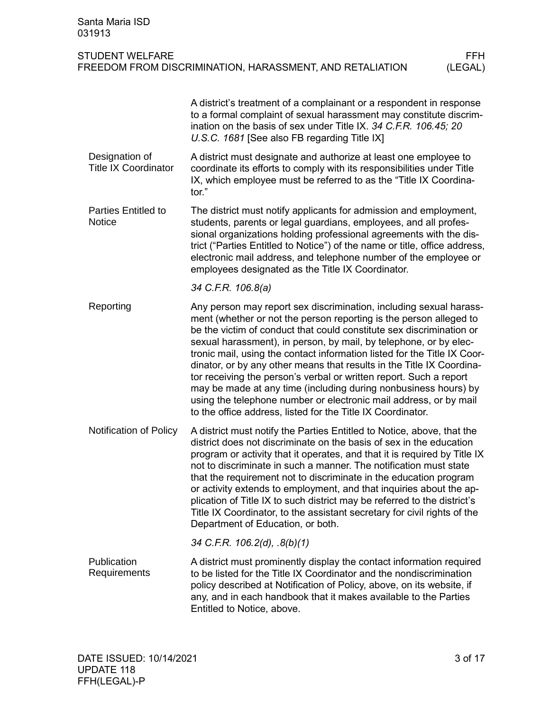<span id="page-2-4"></span><span id="page-2-3"></span><span id="page-2-2"></span><span id="page-2-1"></span><span id="page-2-0"></span>

| Santa Maria ISD<br>031913                     |                                                                                                                                                                                                                                                                                                                                                                                                                                                                                                                                                                                                                                                                                                                         |
|-----------------------------------------------|-------------------------------------------------------------------------------------------------------------------------------------------------------------------------------------------------------------------------------------------------------------------------------------------------------------------------------------------------------------------------------------------------------------------------------------------------------------------------------------------------------------------------------------------------------------------------------------------------------------------------------------------------------------------------------------------------------------------------|
| <b>STUDENT WELFARE</b>                        | <b>FFH</b><br>FREEDOM FROM DISCRIMINATION, HARASSMENT, AND RETALIATION<br>(LEGAL)                                                                                                                                                                                                                                                                                                                                                                                                                                                                                                                                                                                                                                       |
|                                               | A district's treatment of a complainant or a respondent in response<br>to a formal complaint of sexual harassment may constitute discrim-<br>ination on the basis of sex under Title IX. 34 C.F.R. 106.45; 20<br>U.S.C. 1681 [See also FB regarding Title IX]                                                                                                                                                                                                                                                                                                                                                                                                                                                           |
| Designation of<br><b>Title IX Coordinator</b> | A district must designate and authorize at least one employee to<br>coordinate its efforts to comply with its responsibilities under Title<br>IX, which employee must be referred to as the "Title IX Coordina-<br>tor."                                                                                                                                                                                                                                                                                                                                                                                                                                                                                                |
| <b>Parties Entitled to</b><br><b>Notice</b>   | The district must notify applicants for admission and employment,<br>students, parents or legal guardians, employees, and all profes-<br>sional organizations holding professional agreements with the dis-<br>trict ("Parties Entitled to Notice") of the name or title, office address,<br>electronic mail address, and telephone number of the employee or<br>employees designated as the Title IX Coordinator.                                                                                                                                                                                                                                                                                                      |
|                                               | 34 C.F.R. 106.8(a)                                                                                                                                                                                                                                                                                                                                                                                                                                                                                                                                                                                                                                                                                                      |
| Reporting                                     | Any person may report sex discrimination, including sexual harass-<br>ment (whether or not the person reporting is the person alleged to<br>be the victim of conduct that could constitute sex discrimination or<br>sexual harassment), in person, by mail, by telephone, or by elec-<br>tronic mail, using the contact information listed for the Title IX Coor-<br>dinator, or by any other means that results in the Title IX Coordina-<br>tor receiving the person's verbal or written report. Such a report<br>may be made at any time (including during nonbusiness hours) by<br>using the telephone number or electronic mail address, or by mail<br>to the office address, listed for the Title IX Coordinator. |
| Notification of Policy                        | A district must notify the Parties Entitled to Notice, above, that the<br>district does not discriminate on the basis of sex in the education<br>program or activity that it operates, and that it is required by Title IX<br>not to discriminate in such a manner. The notification must state<br>that the requirement not to discriminate in the education program<br>or activity extends to employment, and that inquiries about the ap-<br>plication of Title IX to such district may be referred to the district's<br>Title IX Coordinator, to the assistant secretary for civil rights of the<br>Department of Education, or both.                                                                                |
|                                               | 34 C.F.R. 106.2(d), .8(b)(1)                                                                                                                                                                                                                                                                                                                                                                                                                                                                                                                                                                                                                                                                                            |
| Publication<br>Requirements                   | A district must prominently display the contact information required<br>to be listed for the Title IX Coordinator and the nondiscrimination<br>policy described at Notification of Policy, above, on its website, if<br>any, and in each handbook that it makes available to the Parties<br>Entitled to Notice, above.                                                                                                                                                                                                                                                                                                                                                                                                  |
|                                               |                                                                                                                                                                                                                                                                                                                                                                                                                                                                                                                                                                                                                                                                                                                         |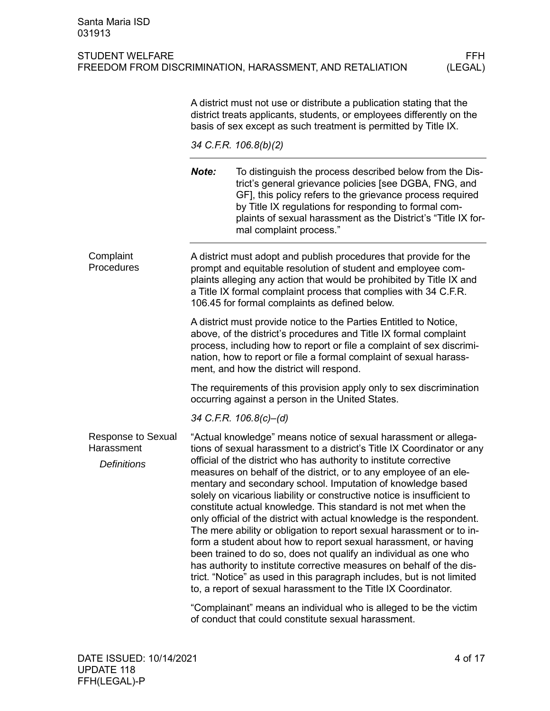<span id="page-3-0"></span>

|                                                               | A district must not use or distribute a publication stating that the<br>district treats applicants, students, or employees differently on the<br>basis of sex except as such treatment is permitted by Title IX.                                                                                                                  |                                                                                                                                                                                                                                                                                                                                                                                                                                                                                                                                                                                                                                                                                                                                                                                                                                                                                                                                                                                                               |  |  |  |
|---------------------------------------------------------------|-----------------------------------------------------------------------------------------------------------------------------------------------------------------------------------------------------------------------------------------------------------------------------------------------------------------------------------|---------------------------------------------------------------------------------------------------------------------------------------------------------------------------------------------------------------------------------------------------------------------------------------------------------------------------------------------------------------------------------------------------------------------------------------------------------------------------------------------------------------------------------------------------------------------------------------------------------------------------------------------------------------------------------------------------------------------------------------------------------------------------------------------------------------------------------------------------------------------------------------------------------------------------------------------------------------------------------------------------------------|--|--|--|
|                                                               | 34 C.F.R. 106.8(b)(2)                                                                                                                                                                                                                                                                                                             |                                                                                                                                                                                                                                                                                                                                                                                                                                                                                                                                                                                                                                                                                                                                                                                                                                                                                                                                                                                                               |  |  |  |
|                                                               | Note:                                                                                                                                                                                                                                                                                                                             | To distinguish the process described below from the Dis-<br>trict's general grievance policies [see DGBA, FNG, and<br>GF], this policy refers to the grievance process required<br>by Title IX regulations for responding to formal com-<br>plaints of sexual harassment as the District's "Title IX for-<br>mal complaint process."                                                                                                                                                                                                                                                                                                                                                                                                                                                                                                                                                                                                                                                                          |  |  |  |
| Complaint<br>Procedures                                       | A district must adopt and publish procedures that provide for the<br>prompt and equitable resolution of student and employee com-<br>plaints alleging any action that would be prohibited by Title IX and<br>a Title IX formal complaint process that complies with 34 C.F.R.<br>106.45 for formal complaints as defined below.   |                                                                                                                                                                                                                                                                                                                                                                                                                                                                                                                                                                                                                                                                                                                                                                                                                                                                                                                                                                                                               |  |  |  |
|                                                               | A district must provide notice to the Parties Entitled to Notice,<br>above, of the district's procedures and Title IX formal complaint<br>process, including how to report or file a complaint of sex discrimi-<br>nation, how to report or file a formal complaint of sexual harass-<br>ment, and how the district will respond. |                                                                                                                                                                                                                                                                                                                                                                                                                                                                                                                                                                                                                                                                                                                                                                                                                                                                                                                                                                                                               |  |  |  |
|                                                               | The requirements of this provision apply only to sex discrimination<br>occurring against a person in the United States.                                                                                                                                                                                                           |                                                                                                                                                                                                                                                                                                                                                                                                                                                                                                                                                                                                                                                                                                                                                                                                                                                                                                                                                                                                               |  |  |  |
|                                                               |                                                                                                                                                                                                                                                                                                                                   | 34 C.F.R. 106.8(c)-(d)                                                                                                                                                                                                                                                                                                                                                                                                                                                                                                                                                                                                                                                                                                                                                                                                                                                                                                                                                                                        |  |  |  |
| <b>Response to Sexual</b><br>Harassment<br><b>Definitions</b> |                                                                                                                                                                                                                                                                                                                                   | "Actual knowledge" means notice of sexual harassment or allega-<br>tions of sexual harassment to a district's Title IX Coordinator or any<br>official of the district who has authority to institute corrective<br>measures on behalf of the district, or to any employee of an ele-<br>mentary and secondary school. Imputation of knowledge based<br>solely on vicarious liability or constructive notice is insufficient to<br>constitute actual knowledge. This standard is not met when the<br>only official of the district with actual knowledge is the respondent.<br>The mere ability or obligation to report sexual harassment or to in-<br>form a student about how to report sexual harassment, or having<br>been trained to do so, does not qualify an individual as one who<br>has authority to institute corrective measures on behalf of the dis-<br>trict. "Notice" as used in this paragraph includes, but is not limited<br>to, a report of sexual harassment to the Title IX Coordinator. |  |  |  |
|                                                               | "Complainant" means an individual who is alleged to be the victim                                                                                                                                                                                                                                                                 |                                                                                                                                                                                                                                                                                                                                                                                                                                                                                                                                                                                                                                                                                                                                                                                                                                                                                                                                                                                                               |  |  |  |

<span id="page-3-1"></span>"Complainant" means an individual who is alleged to be the victim of conduct that could constitute sexual harassment.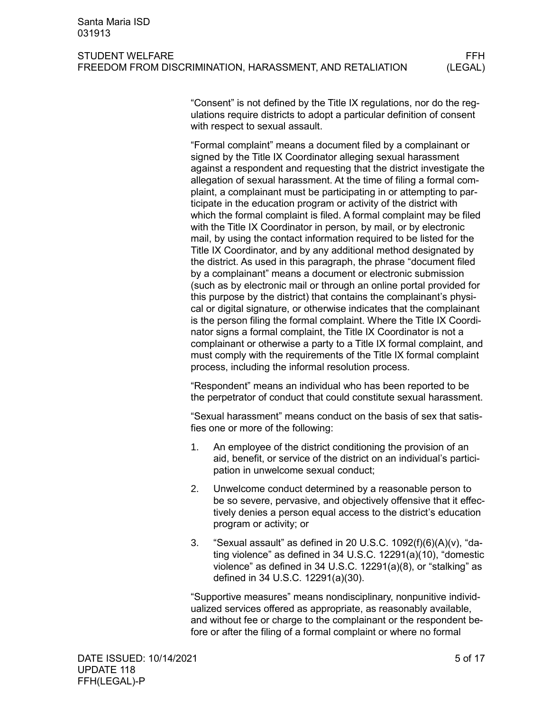#### STUDENT WELFARE FRIEL AND STUDENT WELFARE FRIEL FREEDOM FROM DISCRIMINATION, HARASSMENT, AND RETALIATION (LEGAL)

"Consent" is not defined by the Title IX regulations, nor do the regulations require districts to adopt a particular definition of consent with respect to sexual assault.

"Formal complaint" means a document filed by a complainant or signed by the Title IX Coordinator alleging sexual harassment against a respondent and requesting that the district investigate the allegation of sexual harassment. At the time of filing a formal complaint, a complainant must be participating in or attempting to participate in the education program or activity of the district with which the formal complaint is filed. A formal complaint may be filed with the Title IX Coordinator in person, by mail, or by electronic mail, by using the contact information required to be listed for the Title IX Coordinator, and by any additional method designated by the district. As used in this paragraph, the phrase "document filed by a complainant" means a document or electronic submission (such as by electronic mail or through an online portal provided for this purpose by the district) that contains the complainant's physical or digital signature, or otherwise indicates that the complainant is the person filing the formal complaint. Where the Title IX Coordinator signs a formal complaint, the Title IX Coordinator is not a complainant or otherwise a party to a Title IX formal complaint, and must comply with the requirements of the Title IX formal complaint process, including the informal resolution process.

"Respondent" means an individual who has been reported to be the perpetrator of conduct that could constitute sexual harassment.

"Sexual harassment" means conduct on the basis of sex that satisfies one or more of the following:

- 1. An employee of the district conditioning the provision of an aid, benefit, or service of the district on an individual's participation in unwelcome sexual conduct;
- 2. Unwelcome conduct determined by a reasonable person to be so severe, pervasive, and objectively offensive that it effectively denies a person equal access to the district's education program or activity; or
- 3. "Sexual assault" as defined in 20 U.S.C. 1092(f)(6)(A)(v), "dating violence" as defined in 34 U.S.C. 12291(a)(10), "domestic violence" as defined in 34 U.S.C. 12291(a)(8), or "stalking" as defined in 34 U.S.C. 12291(a)(30).

"Supportive measures" means nondisciplinary, nonpunitive individualized services offered as appropriate, as reasonably available, and without fee or charge to the complainant or the respondent before or after the filing of a formal complaint or where no formal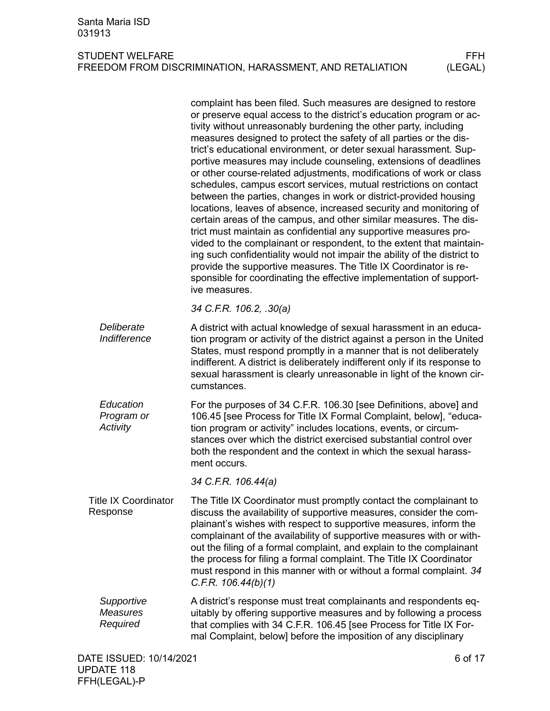<span id="page-5-0"></span>

|                                           | complaint has been filed. Such measures are designed to restore<br>or preserve equal access to the district's education program or ac-<br>tivity without unreasonably burdening the other party, including<br>measures designed to protect the safety of all parties or the dis-<br>trict's educational environment, or deter sexual harassment. Sup-<br>portive measures may include counseling, extensions of deadlines<br>or other course-related adjustments, modifications of work or class<br>schedules, campus escort services, mutual restrictions on contact<br>between the parties, changes in work or district-provided housing<br>locations, leaves of absence, increased security and monitoring of<br>certain areas of the campus, and other similar measures. The dis-<br>trict must maintain as confidential any supportive measures pro-<br>vided to the complainant or respondent, to the extent that maintain-<br>ing such confidentiality would not impair the ability of the district to<br>provide the supportive measures. The Title IX Coordinator is re-<br>sponsible for coordinating the effective implementation of support-<br>ive measures. |
|-------------------------------------------|---------------------------------------------------------------------------------------------------------------------------------------------------------------------------------------------------------------------------------------------------------------------------------------------------------------------------------------------------------------------------------------------------------------------------------------------------------------------------------------------------------------------------------------------------------------------------------------------------------------------------------------------------------------------------------------------------------------------------------------------------------------------------------------------------------------------------------------------------------------------------------------------------------------------------------------------------------------------------------------------------------------------------------------------------------------------------------------------------------------------------------------------------------------------------|
|                                           | 34 C.F.R. 106.2, .30(a)                                                                                                                                                                                                                                                                                                                                                                                                                                                                                                                                                                                                                                                                                                                                                                                                                                                                                                                                                                                                                                                                                                                                                   |
| Deliberate<br>Indifference                | A district with actual knowledge of sexual harassment in an educa-<br>tion program or activity of the district against a person in the United<br>States, must respond promptly in a manner that is not deliberately<br>indifferent. A district is deliberately indifferent only if its response to<br>sexual harassment is clearly unreasonable in light of the known cir-<br>cumstances.                                                                                                                                                                                                                                                                                                                                                                                                                                                                                                                                                                                                                                                                                                                                                                                 |
| Education<br>Program or<br>Activity       | For the purposes of 34 C.F.R. 106.30 [see Definitions, above] and<br>106.45 [see Process for Title IX Formal Complaint, below], "educa-<br>tion program or activity" includes locations, events, or circum-<br>stances over which the district exercised substantial control over<br>both the respondent and the context in which the sexual harass-<br>ment occurs.                                                                                                                                                                                                                                                                                                                                                                                                                                                                                                                                                                                                                                                                                                                                                                                                      |
|                                           | 34 C.F.R. 106.44(a)                                                                                                                                                                                                                                                                                                                                                                                                                                                                                                                                                                                                                                                                                                                                                                                                                                                                                                                                                                                                                                                                                                                                                       |
| <b>Title IX Coordinator</b><br>Response   | The Title IX Coordinator must promptly contact the complainant to<br>discuss the availability of supportive measures, consider the com-<br>plainant's wishes with respect to supportive measures, inform the<br>complainant of the availability of supportive measures with or with-<br>out the filing of a formal complaint, and explain to the complainant<br>the process for filing a formal complaint. The Title IX Coordinator<br>must respond in this manner with or without a formal complaint. 34<br>C.F.R. 106.44(b)(1)                                                                                                                                                                                                                                                                                                                                                                                                                                                                                                                                                                                                                                          |
| Supportive<br><b>Measures</b><br>Required | A district's response must treat complainants and respondents eq-<br>uitably by offering supportive measures and by following a process<br>that complies with 34 C.F.R. 106.45 [see Process for Title IX For-<br>mal Complaint, below] before the imposition of any disciplinary                                                                                                                                                                                                                                                                                                                                                                                                                                                                                                                                                                                                                                                                                                                                                                                                                                                                                          |
| DATE ISSUED: 10/14/2021                   | 6 of 17                                                                                                                                                                                                                                                                                                                                                                                                                                                                                                                                                                                                                                                                                                                                                                                                                                                                                                                                                                                                                                                                                                                                                                   |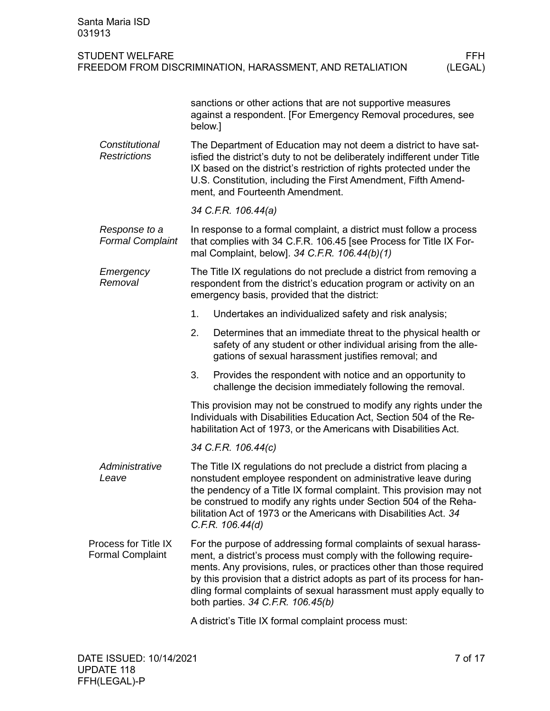<span id="page-6-0"></span>

| Santa Maria ISD<br>031913                       |                                                                                                                                                                                                                                                                                                                                                                         |                                                                                                                                                                                                                                                                                                                                                                                                        |                 |  |  |  |  |
|-------------------------------------------------|-------------------------------------------------------------------------------------------------------------------------------------------------------------------------------------------------------------------------------------------------------------------------------------------------------------------------------------------------------------------------|--------------------------------------------------------------------------------------------------------------------------------------------------------------------------------------------------------------------------------------------------------------------------------------------------------------------------------------------------------------------------------------------------------|-----------------|--|--|--|--|
| <b>STUDENT WELFARE</b>                          |                                                                                                                                                                                                                                                                                                                                                                         | FREEDOM FROM DISCRIMINATION, HARASSMENT, AND RETALIATION                                                                                                                                                                                                                                                                                                                                               | FFH.<br>(LEGAL) |  |  |  |  |
|                                                 | sanctions or other actions that are not supportive measures<br>against a respondent. [For Emergency Removal procedures, see<br>below.]                                                                                                                                                                                                                                  |                                                                                                                                                                                                                                                                                                                                                                                                        |                 |  |  |  |  |
| Constitutional<br><b>Restrictions</b>           |                                                                                                                                                                                                                                                                                                                                                                         | The Department of Education may not deem a district to have sat-<br>isfied the district's duty to not be deliberately indifferent under Title<br>IX based on the district's restriction of rights protected under the<br>U.S. Constitution, including the First Amendment, Fifth Amend-<br>ment, and Fourteenth Amendment.                                                                             |                 |  |  |  |  |
|                                                 |                                                                                                                                                                                                                                                                                                                                                                         | 34 C.F.R. 106.44(a)                                                                                                                                                                                                                                                                                                                                                                                    |                 |  |  |  |  |
| Response to a<br><b>Formal Complaint</b>        | In response to a formal complaint, a district must follow a process<br>that complies with 34 C.F.R. 106.45 [see Process for Title IX For-<br>mal Complaint, below]. 34 C.F.R. 106.44(b)(1)                                                                                                                                                                              |                                                                                                                                                                                                                                                                                                                                                                                                        |                 |  |  |  |  |
| Emergency<br>Removal                            |                                                                                                                                                                                                                                                                                                                                                                         | The Title IX regulations do not preclude a district from removing a<br>respondent from the district's education program or activity on an<br>emergency basis, provided that the district:                                                                                                                                                                                                              |                 |  |  |  |  |
|                                                 | 1.                                                                                                                                                                                                                                                                                                                                                                      | Undertakes an individualized safety and risk analysis;                                                                                                                                                                                                                                                                                                                                                 |                 |  |  |  |  |
|                                                 | 2.                                                                                                                                                                                                                                                                                                                                                                      | Determines that an immediate threat to the physical health or<br>safety of any student or other individual arising from the alle-<br>gations of sexual harassment justifies removal; and                                                                                                                                                                                                               |                 |  |  |  |  |
|                                                 | 3.                                                                                                                                                                                                                                                                                                                                                                      | Provides the respondent with notice and an opportunity to<br>challenge the decision immediately following the removal.                                                                                                                                                                                                                                                                                 |                 |  |  |  |  |
|                                                 | This provision may not be construed to modify any rights under the<br>Individuals with Disabilities Education Act, Section 504 of the Re-<br>habilitation Act of 1973, or the Americans with Disabilities Act.                                                                                                                                                          |                                                                                                                                                                                                                                                                                                                                                                                                        |                 |  |  |  |  |
|                                                 | 34 C.F.R. 106.44(c)                                                                                                                                                                                                                                                                                                                                                     |                                                                                                                                                                                                                                                                                                                                                                                                        |                 |  |  |  |  |
| Administrative<br>Leave                         | The Title IX regulations do not preclude a district from placing a<br>nonstudent employee respondent on administrative leave during<br>the pendency of a Title IX formal complaint. This provision may not<br>be construed to modify any rights under Section 504 of the Reha-<br>bilitation Act of 1973 or the Americans with Disabilities Act. 34<br>C.F.R. 106.44(d) |                                                                                                                                                                                                                                                                                                                                                                                                        |                 |  |  |  |  |
| Process for Title IX<br><b>Formal Complaint</b> |                                                                                                                                                                                                                                                                                                                                                                         | For the purpose of addressing formal complaints of sexual harass-<br>ment, a district's process must comply with the following require-<br>ments. Any provisions, rules, or practices other than those required<br>by this provision that a district adopts as part of its process for han-<br>dling formal complaints of sexual harassment must apply equally to<br>both parties. 34 C.F.R. 106.45(b) |                 |  |  |  |  |
|                                                 |                                                                                                                                                                                                                                                                                                                                                                         | A district's Title IX formal complaint process must:                                                                                                                                                                                                                                                                                                                                                   |                 |  |  |  |  |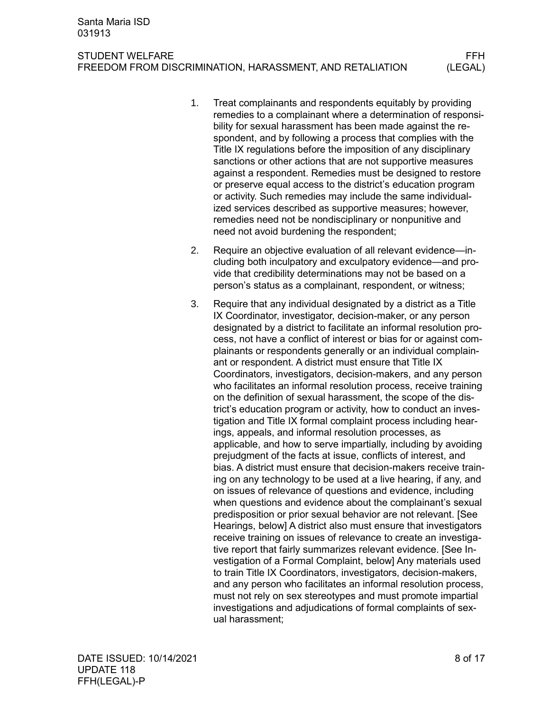STUDENT WELFARE FRIEL AND STUDENT WELFARE FRIEL FREEDOM FROM DISCRIMINATION, HARASSMENT, AND RETALIATION (LEGAL)

- 1. Treat complainants and respondents equitably by providing remedies to a complainant where a determination of responsibility for sexual harassment has been made against the respondent, and by following a process that complies with the Title IX regulations before the imposition of any disciplinary sanctions or other actions that are not supportive measures against a respondent. Remedies must be designed to restore or preserve equal access to the district's education program or activity. Such remedies may include the same individualized services described as supportive measures; however, remedies need not be nondisciplinary or nonpunitive and need not avoid burdening the respondent;
- 2. Require an objective evaluation of all relevant evidence—including both inculpatory and exculpatory evidence—and provide that credibility determinations may not be based on a person's status as a complainant, respondent, or witness;
- 3. Require that any individual designated by a district as a Title IX Coordinator, investigator, decision-maker, or any person designated by a district to facilitate an informal resolution process, not have a conflict of interest or bias for or against complainants or respondents generally or an individual complainant or respondent. A district must ensure that Title IX Coordinators, investigators, decision-makers, and any person who facilitates an informal resolution process, receive training on the definition of sexual harassment, the scope of the district's education program or activity, how to conduct an investigation and Title IX formal complaint process including hearings, appeals, and informal resolution processes, as applicable, and how to serve impartially, including by avoiding prejudgment of the facts at issue, conflicts of interest, and bias. A district must ensure that decision-makers receive training on any technology to be used at a live hearing, if any, and on issues of relevance of questions and evidence, including when questions and evidence about the complainant's sexual predisposition or prior sexual behavior are not relevant. [See Hearings, below] A district also must ensure that investigators receive training on issues of relevance to create an investigative report that fairly summarizes relevant evidence. [See Investigation of a Formal Complaint, below] Any materials used to train Title IX Coordinators, investigators, decision-makers, and any person who facilitates an informal resolution process, must not rely on sex stereotypes and must promote impartial investigations and adjudications of formal complaints of sexual harassment;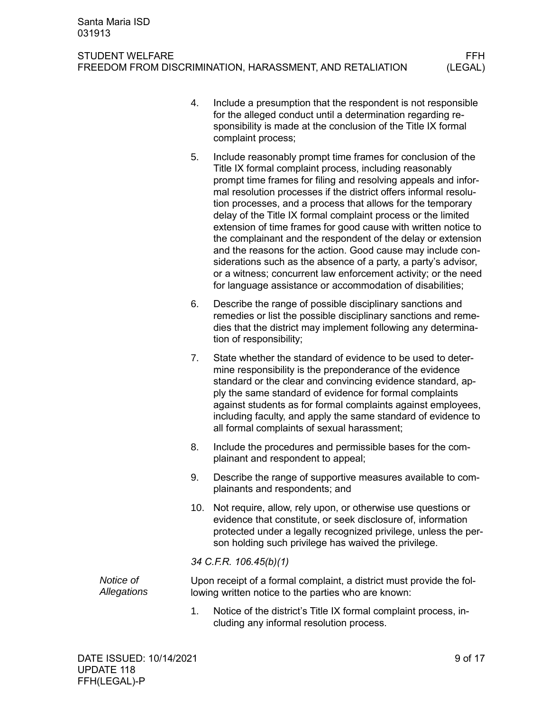- 4. Include a presumption that the respondent is not responsible for the alleged conduct until a determination regarding responsibility is made at the conclusion of the Title IX formal complaint process;
- 5. Include reasonably prompt time frames for conclusion of the Title IX formal complaint process, including reasonably prompt time frames for filing and resolving appeals and informal resolution processes if the district offers informal resolution processes, and a process that allows for the temporary delay of the Title IX formal complaint process or the limited extension of time frames for good cause with written notice to the complainant and the respondent of the delay or extension and the reasons for the action. Good cause may include considerations such as the absence of a party, a party's advisor, or a witness; concurrent law enforcement activity; or the need for language assistance or accommodation of disabilities;
- 6. Describe the range of possible disciplinary sanctions and remedies or list the possible disciplinary sanctions and remedies that the district may implement following any determination of responsibility;
- 7. State whether the standard of evidence to be used to determine responsibility is the preponderance of the evidence standard or the clear and convincing evidence standard, apply the same standard of evidence for formal complaints against students as for formal complaints against employees, including faculty, and apply the same standard of evidence to all formal complaints of sexual harassment;
- 8. Include the procedures and permissible bases for the complainant and respondent to appeal;
- 9. Describe the range of supportive measures available to complainants and respondents; and
- 10. Not require, allow, rely upon, or otherwise use questions or evidence that constitute, or seek disclosure of, information protected under a legally recognized privilege, unless the person holding such privilege has waived the privilege.

# *34 C.F.R. 106.45(b)(1)*

Upon receipt of a formal complaint, a district must provide the following written notice to the parties who are known: *Notice of Allegations*

> 1. Notice of the district's Title IX formal complaint process, including any informal resolution process.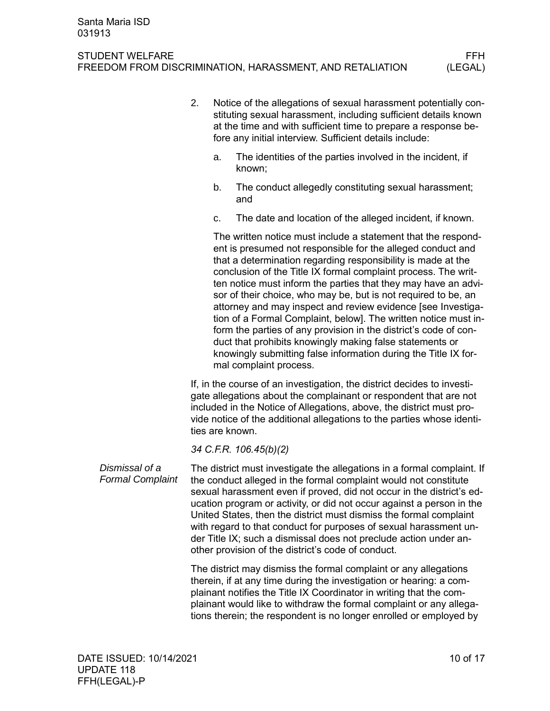- 2. Notice of the allegations of sexual harassment potentially constituting sexual harassment, including sufficient details known at the time and with sufficient time to prepare a response before any initial interview. Sufficient details include:
	- a. The identities of the parties involved in the incident, if known;
	- b. The conduct allegedly constituting sexual harassment; and
	- c. The date and location of the alleged incident, if known.

The written notice must include a statement that the respondent is presumed not responsible for the alleged conduct and that a determination regarding responsibility is made at the conclusion of the Title IX formal complaint process. The written notice must inform the parties that they may have an advisor of their choice, who may be, but is not required to be, an attorney and may inspect and review evidence [see Investigation of a Formal Complaint, below]. The written notice must inform the parties of any provision in the district's code of conduct that prohibits knowingly making false statements or knowingly submitting false information during the Title IX formal complaint process.

If, in the course of an investigation, the district decides to investigate allegations about the complainant or respondent that are not included in the Notice of Allegations, above, the district must provide notice of the additional allegations to the parties whose identities are known.

*34 C.F.R. 106.45(b)(2)*

The district must investigate the allegations in a formal complaint. If the conduct alleged in the formal complaint would not constitute sexual harassment even if proved, did not occur in the district's education program or activity, or did not occur against a person in the United States, then the district must dismiss the formal complaint with regard to that conduct for purposes of sexual harassment under Title IX; such a dismissal does not preclude action under another provision of the district's code of conduct. *Dismissal of a Formal Complaint*

> The district may dismiss the formal complaint or any allegations therein, if at any time during the investigation or hearing: a complainant notifies the Title IX Coordinator in writing that the complainant would like to withdraw the formal complaint or any allegations therein; the respondent is no longer enrolled or employed by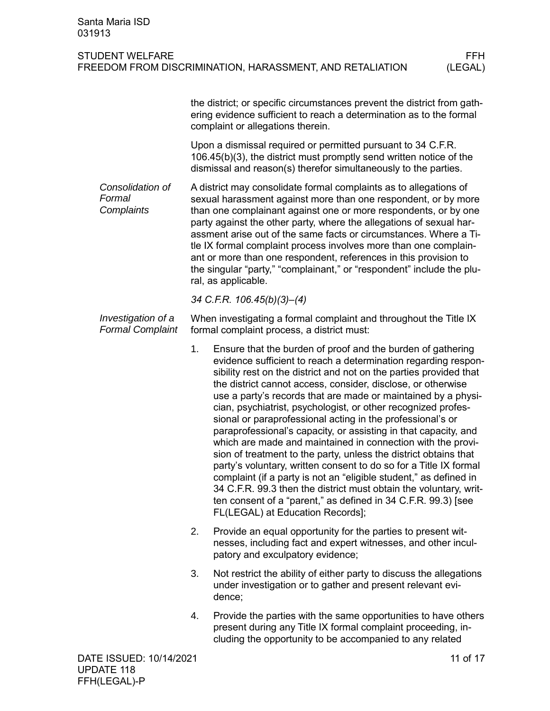|                                                                                                                                                                                                                                                                                                                                                                                                                                                                                                                                                                                            | the district; or specific circumstances prevent the district from gath-<br>ering evidence sufficient to reach a determination as to the formal<br>complaint or allegations therein.                                                                                                                                                                                                                                                                                                                                                                                                                                                                                                                                                                                                                                                                                                                                                                                                           |  |
|--------------------------------------------------------------------------------------------------------------------------------------------------------------------------------------------------------------------------------------------------------------------------------------------------------------------------------------------------------------------------------------------------------------------------------------------------------------------------------------------------------------------------------------------------------------------------------------------|-----------------------------------------------------------------------------------------------------------------------------------------------------------------------------------------------------------------------------------------------------------------------------------------------------------------------------------------------------------------------------------------------------------------------------------------------------------------------------------------------------------------------------------------------------------------------------------------------------------------------------------------------------------------------------------------------------------------------------------------------------------------------------------------------------------------------------------------------------------------------------------------------------------------------------------------------------------------------------------------------|--|
|                                                                                                                                                                                                                                                                                                                                                                                                                                                                                                                                                                                            | Upon a dismissal required or permitted pursuant to 34 C.F.R.<br>106.45(b)(3), the district must promptly send written notice of the<br>dismissal and reason(s) therefor simultaneously to the parties.                                                                                                                                                                                                                                                                                                                                                                                                                                                                                                                                                                                                                                                                                                                                                                                        |  |
| A district may consolidate formal complaints as to allegations of<br>sexual harassment against more than one respondent, or by more<br>than one complainant against one or more respondents, or by one<br>party against the other party, where the allegations of sexual har-<br>assment arise out of the same facts or circumstances. Where a Ti-<br>tle IX formal complaint process involves more than one complain-<br>ant or more than one respondent, references in this provision to<br>the singular "party," "complainant," or "respondent" include the plu-<br>ral, as applicable. |                                                                                                                                                                                                                                                                                                                                                                                                                                                                                                                                                                                                                                                                                                                                                                                                                                                                                                                                                                                               |  |
|                                                                                                                                                                                                                                                                                                                                                                                                                                                                                                                                                                                            | 34 C.F.R. 106.45(b)(3)-(4)                                                                                                                                                                                                                                                                                                                                                                                                                                                                                                                                                                                                                                                                                                                                                                                                                                                                                                                                                                    |  |
|                                                                                                                                                                                                                                                                                                                                                                                                                                                                                                                                                                                            | When investigating a formal complaint and throughout the Title IX<br>formal complaint process, a district must:                                                                                                                                                                                                                                                                                                                                                                                                                                                                                                                                                                                                                                                                                                                                                                                                                                                                               |  |
| 1.                                                                                                                                                                                                                                                                                                                                                                                                                                                                                                                                                                                         | Ensure that the burden of proof and the burden of gathering<br>evidence sufficient to reach a determination regarding respon-<br>sibility rest on the district and not on the parties provided that<br>the district cannot access, consider, disclose, or otherwise<br>use a party's records that are made or maintained by a physi-<br>cian, psychiatrist, psychologist, or other recognized profes-<br>sional or paraprofessional acting in the professional's or<br>paraprofessional's capacity, or assisting in that capacity, and<br>which are made and maintained in connection with the provi-<br>sion of treatment to the party, unless the district obtains that<br>party's voluntary, written consent to do so for a Title IX formal<br>complaint (if a party is not an "eligible student," as defined in<br>34 C.F.R. 99.3 then the district must obtain the voluntary, writ-<br>ten consent of a "parent," as defined in 34 C.F.R. 99.3) [see<br>FL(LEGAL) at Education Records]; |  |
| 2.                                                                                                                                                                                                                                                                                                                                                                                                                                                                                                                                                                                         | Provide an equal opportunity for the parties to present wit-<br>nesses, including fact and expert witnesses, and other incul-<br>patory and exculpatory evidence;                                                                                                                                                                                                                                                                                                                                                                                                                                                                                                                                                                                                                                                                                                                                                                                                                             |  |
| 3.                                                                                                                                                                                                                                                                                                                                                                                                                                                                                                                                                                                         | Not restrict the ability of either party to discuss the allegations<br>under investigation or to gather and present relevant evi-<br>dence;                                                                                                                                                                                                                                                                                                                                                                                                                                                                                                                                                                                                                                                                                                                                                                                                                                                   |  |
| 4.                                                                                                                                                                                                                                                                                                                                                                                                                                                                                                                                                                                         | Provide the parties with the same opportunities to have others<br>present during any Title IX formal complaint proceeding, in-<br>cluding the opportunity to be accompanied to any related                                                                                                                                                                                                                                                                                                                                                                                                                                                                                                                                                                                                                                                                                                                                                                                                    |  |
|                                                                                                                                                                                                                                                                                                                                                                                                                                                                                                                                                                                            |                                                                                                                                                                                                                                                                                                                                                                                                                                                                                                                                                                                                                                                                                                                                                                                                                                                                                                                                                                                               |  |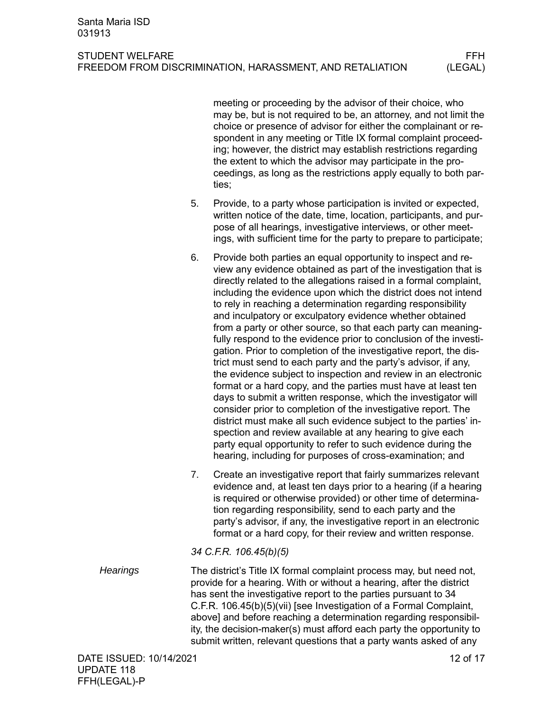meeting or proceeding by the advisor of their choice, who may be, but is not required to be, an attorney, and not limit the choice or presence of advisor for either the complainant or respondent in any meeting or Title IX formal complaint proceeding; however, the district may establish restrictions regarding the extent to which the advisor may participate in the proceedings, as long as the restrictions apply equally to both parties;

- 5. Provide, to a party whose participation is invited or expected, written notice of the date, time, location, participants, and purpose of all hearings, investigative interviews, or other meetings, with sufficient time for the party to prepare to participate;
- 6. Provide both parties an equal opportunity to inspect and review any evidence obtained as part of the investigation that is directly related to the allegations raised in a formal complaint, including the evidence upon which the district does not intend to rely in reaching a determination regarding responsibility and inculpatory or exculpatory evidence whether obtained from a party or other source, so that each party can meaningfully respond to the evidence prior to conclusion of the investigation. Prior to completion of the investigative report, the district must send to each party and the party's advisor, if any, the evidence subject to inspection and review in an electronic format or a hard copy, and the parties must have at least ten days to submit a written response, which the investigator will consider prior to completion of the investigative report. The district must make all such evidence subject to the parties' inspection and review available at any hearing to give each party equal opportunity to refer to such evidence during the hearing, including for purposes of cross-examination; and
- 7. Create an investigative report that fairly summarizes relevant evidence and, at least ten days prior to a hearing (if a hearing is required or otherwise provided) or other time of determination regarding responsibility, send to each party and the party's advisor, if any, the investigative report in an electronic format or a hard copy, for their review and written response.

# *34 C.F.R. 106.45(b)(5)*

The district's Title IX formal complaint process may, but need not, provide for a hearing. With or without a hearing, after the district has sent the investigative report to the parties pursuant to 34 C.F.R. 106.45(b)(5)(vii) [see Investigation of a Formal Complaint, above] and before reaching a determination regarding responsibility, the decision-maker(s) must afford each party the opportunity to submit written, relevant questions that a party wants asked of any *Hearings*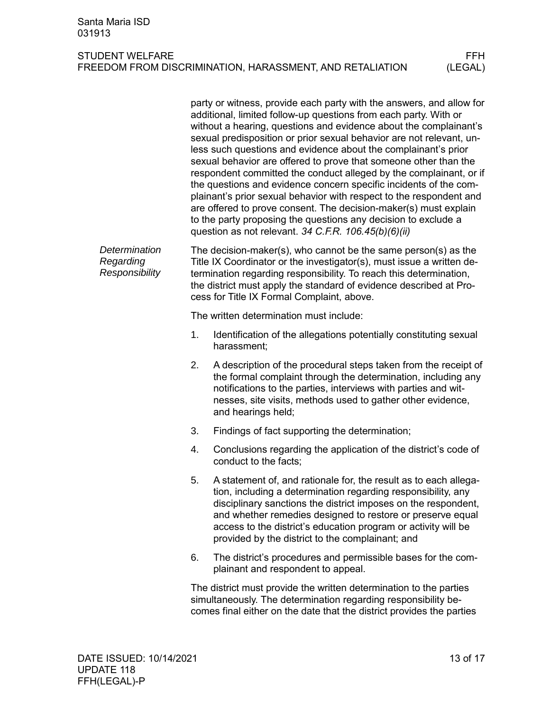|                                              | party or witness, provide each party with the answers, and allow for<br>additional, limited follow-up questions from each party. With or<br>without a hearing, questions and evidence about the complainant's<br>sexual predisposition or prior sexual behavior are not relevant, un-<br>less such questions and evidence about the complainant's prior<br>sexual behavior are offered to prove that someone other than the<br>respondent committed the conduct alleged by the complainant, or if<br>the questions and evidence concern specific incidents of the com-<br>plainant's prior sexual behavior with respect to the respondent and<br>are offered to prove consent. The decision-maker(s) must explain<br>to the party proposing the questions any decision to exclude a<br>question as not relevant. 34 C.F.R. $106.45(b)(6)(ii)$ |
|----------------------------------------------|-----------------------------------------------------------------------------------------------------------------------------------------------------------------------------------------------------------------------------------------------------------------------------------------------------------------------------------------------------------------------------------------------------------------------------------------------------------------------------------------------------------------------------------------------------------------------------------------------------------------------------------------------------------------------------------------------------------------------------------------------------------------------------------------------------------------------------------------------|
| Determination<br>Regarding<br>Responsibility | The decision-maker(s), who cannot be the same person(s) as the<br>Title IX Coordinator or the investigator(s), must issue a written de-<br>termination regarding responsibility. To reach this determination,<br>the district must apply the standard of evidence described at Pro-<br>cess for Title IX Formal Complaint, above.                                                                                                                                                                                                                                                                                                                                                                                                                                                                                                             |
|                                              | The written determination must include:                                                                                                                                                                                                                                                                                                                                                                                                                                                                                                                                                                                                                                                                                                                                                                                                       |
|                                              | 1.<br>Identification of the allegations potentially constituting sexual<br>harassment;                                                                                                                                                                                                                                                                                                                                                                                                                                                                                                                                                                                                                                                                                                                                                        |
|                                              | 2.<br>A description of the procedural steps taken from the receipt of<br>the formal complaint through the determination, including any<br>notifications to the parties, interviews with parties and wit-<br>nesses, site visits, methods used to gather other evidence,<br>and hearings held;                                                                                                                                                                                                                                                                                                                                                                                                                                                                                                                                                 |
|                                              | 3.<br>Findings of fact supporting the determination;                                                                                                                                                                                                                                                                                                                                                                                                                                                                                                                                                                                                                                                                                                                                                                                          |
|                                              | Conclusions regarding the application of the district's code of<br>4.<br>conduct to the facts;                                                                                                                                                                                                                                                                                                                                                                                                                                                                                                                                                                                                                                                                                                                                                |
|                                              | 5.<br>A statement of, and rationale for, the result as to each allega-<br>tion, including a determination regarding responsibility, any<br>disciplinary sanctions the district imposes on the respondent,<br>and whether remedies designed to restore or preserve equal<br>access to the district's education program or activity will be<br>provided by the district to the complainant; and                                                                                                                                                                                                                                                                                                                                                                                                                                                 |
|                                              | The district's procedures and permissible bases for the com-<br>6.<br>plainant and respondent to appeal.                                                                                                                                                                                                                                                                                                                                                                                                                                                                                                                                                                                                                                                                                                                                      |
|                                              | The district must provide the written determination to the parties<br>simultaneously. The determination regarding responsibility be-                                                                                                                                                                                                                                                                                                                                                                                                                                                                                                                                                                                                                                                                                                          |

comes final either on the date that the district provides the parties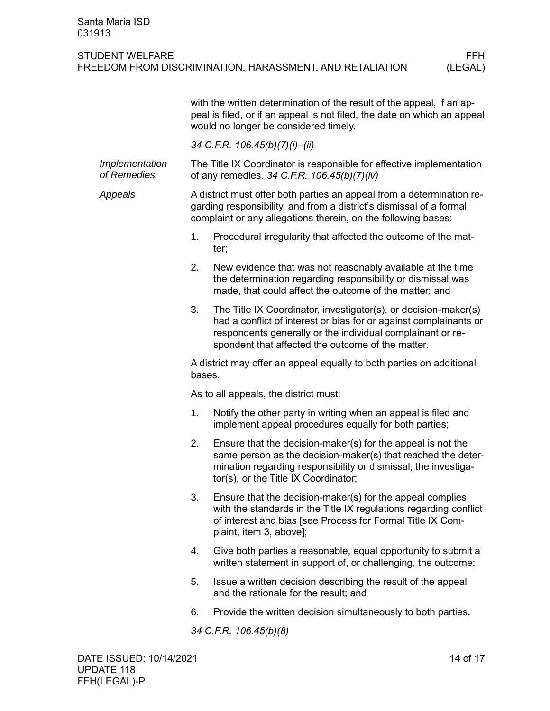|                               | with the written determination of the result of the appeal, if an ap-<br>peal is filed, or if an appeal is not filed, the date on which an appeal<br>would no longer be considered timely.                    |                                                                                                                                                                                                                                                         |  |  |
|-------------------------------|---------------------------------------------------------------------------------------------------------------------------------------------------------------------------------------------------------------|---------------------------------------------------------------------------------------------------------------------------------------------------------------------------------------------------------------------------------------------------------|--|--|
|                               | 34 C.F.R. 106.45(b)(7)(i)-(ii)                                                                                                                                                                                |                                                                                                                                                                                                                                                         |  |  |
| Implementation<br>of Remedies |                                                                                                                                                                                                               | The Title IX Coordinator is responsible for effective implementation<br>of any remedies. 34 C.F.R. 106.45(b)(7)(iv)                                                                                                                                     |  |  |
| Appeals                       | A district must offer both parties an appeal from a determination re-<br>garding responsibility, and from a district's dismissal of a formal<br>complaint or any allegations therein, on the following bases: |                                                                                                                                                                                                                                                         |  |  |
|                               | 1.                                                                                                                                                                                                            | Procedural irregularity that affected the outcome of the mat-<br>ter;                                                                                                                                                                                   |  |  |
|                               | 2.                                                                                                                                                                                                            | New evidence that was not reasonably available at the time<br>the determination regarding responsibility or dismissal was<br>made, that could affect the outcome of the matter; and                                                                     |  |  |
|                               | 3.                                                                                                                                                                                                            | The Title IX Coordinator, investigator(s), or decision-maker(s)<br>had a conflict of interest or bias for or against complainants or<br>respondents generally or the individual complainant or re-<br>spondent that affected the outcome of the matter. |  |  |
|                               | A district may offer an appeal equally to both parties on additional<br>bases.                                                                                                                                |                                                                                                                                                                                                                                                         |  |  |
|                               | As to all appeals, the district must:                                                                                                                                                                         |                                                                                                                                                                                                                                                         |  |  |
|                               | 1.                                                                                                                                                                                                            | Notify the other party in writing when an appeal is filed and<br>implement appeal procedures equally for both parties;                                                                                                                                  |  |  |
|                               | 2.                                                                                                                                                                                                            | Ensure that the decision-maker(s) for the appeal is not the<br>same person as the decision-maker(s) that reached the deter-<br>mination regarding responsibility or dismissal, the investiga-<br>tor(s), or the Title IX Coordinator;                   |  |  |
|                               | 3.                                                                                                                                                                                                            | Ensure that the decision-maker(s) for the appeal complies<br>with the standards in the Title IX regulations regarding conflict<br>of interest and bias [see Process for Formal Title IX Com-<br>plaint, item 3, above];                                 |  |  |
|                               | 4.                                                                                                                                                                                                            | Give both parties a reasonable, equal opportunity to submit a<br>written statement in support of, or challenging, the outcome;                                                                                                                          |  |  |
|                               | 5.                                                                                                                                                                                                            | Issue a written decision describing the result of the appeal<br>and the rationale for the result; and                                                                                                                                                   |  |  |
|                               | 6.                                                                                                                                                                                                            | Provide the written decision simultaneously to both parties.                                                                                                                                                                                            |  |  |
|                               | 34 C.F.R. 106.45(b)(8)                                                                                                                                                                                        |                                                                                                                                                                                                                                                         |  |  |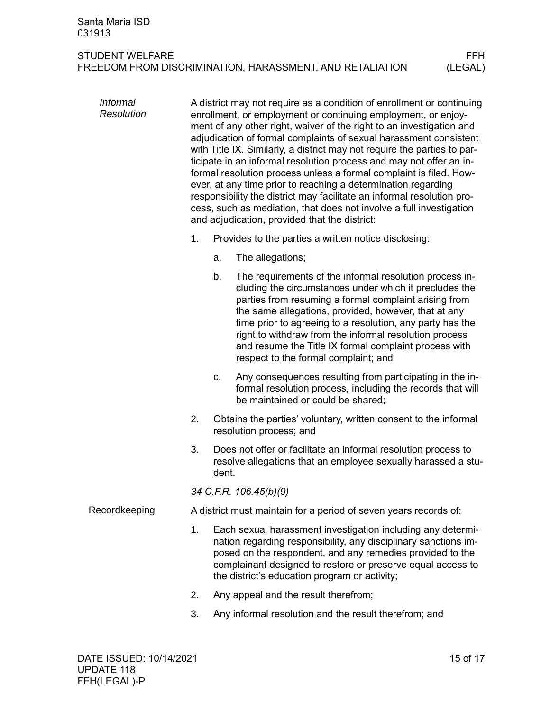<span id="page-14-0"></span>

| <b>Informal</b><br><b>Resolution</b> |    | A district may not require as a condition of enrollment or continuing<br>enrollment, or employment or continuing employment, or enjoy-<br>ment of any other right, waiver of the right to an investigation and<br>adjudication of formal complaints of sexual harassment consistent<br>with Title IX. Similarly, a district may not require the parties to par-<br>ticipate in an informal resolution process and may not offer an in-<br>formal resolution process unless a formal complaint is filed. How-<br>ever, at any time prior to reaching a determination regarding<br>responsibility the district may facilitate an informal resolution pro-<br>cess, such as mediation, that does not involve a full investigation<br>and adjudication, provided that the district: |                                                                                                                                                                                                                                                                                                                                                                                                                                                            |  |
|--------------------------------------|----|---------------------------------------------------------------------------------------------------------------------------------------------------------------------------------------------------------------------------------------------------------------------------------------------------------------------------------------------------------------------------------------------------------------------------------------------------------------------------------------------------------------------------------------------------------------------------------------------------------------------------------------------------------------------------------------------------------------------------------------------------------------------------------|------------------------------------------------------------------------------------------------------------------------------------------------------------------------------------------------------------------------------------------------------------------------------------------------------------------------------------------------------------------------------------------------------------------------------------------------------------|--|
|                                      | 1. |                                                                                                                                                                                                                                                                                                                                                                                                                                                                                                                                                                                                                                                                                                                                                                                 | Provides to the parties a written notice disclosing:                                                                                                                                                                                                                                                                                                                                                                                                       |  |
|                                      |    | a.                                                                                                                                                                                                                                                                                                                                                                                                                                                                                                                                                                                                                                                                                                                                                                              | The allegations;                                                                                                                                                                                                                                                                                                                                                                                                                                           |  |
|                                      |    | b.                                                                                                                                                                                                                                                                                                                                                                                                                                                                                                                                                                                                                                                                                                                                                                              | The requirements of the informal resolution process in-<br>cluding the circumstances under which it precludes the<br>parties from resuming a formal complaint arising from<br>the same allegations, provided, however, that at any<br>time prior to agreeing to a resolution, any party has the<br>right to withdraw from the informal resolution process<br>and resume the Title IX formal complaint process with<br>respect to the formal complaint; and |  |
|                                      |    | c.                                                                                                                                                                                                                                                                                                                                                                                                                                                                                                                                                                                                                                                                                                                                                                              | Any consequences resulting from participating in the in-<br>formal resolution process, including the records that will<br>be maintained or could be shared;                                                                                                                                                                                                                                                                                                |  |
|                                      | 2. |                                                                                                                                                                                                                                                                                                                                                                                                                                                                                                                                                                                                                                                                                                                                                                                 | Obtains the parties' voluntary, written consent to the informal<br>resolution process; and                                                                                                                                                                                                                                                                                                                                                                 |  |
|                                      | 3. | dent.                                                                                                                                                                                                                                                                                                                                                                                                                                                                                                                                                                                                                                                                                                                                                                           | Does not offer or facilitate an informal resolution process to<br>resolve allegations that an employee sexually harassed a stu-                                                                                                                                                                                                                                                                                                                            |  |
|                                      |    | 34 C.F.R. 106.45(b)(9)                                                                                                                                                                                                                                                                                                                                                                                                                                                                                                                                                                                                                                                                                                                                                          |                                                                                                                                                                                                                                                                                                                                                                                                                                                            |  |
| Recordkeeping                        |    |                                                                                                                                                                                                                                                                                                                                                                                                                                                                                                                                                                                                                                                                                                                                                                                 | A district must maintain for a period of seven years records of:                                                                                                                                                                                                                                                                                                                                                                                           |  |
|                                      | 1. |                                                                                                                                                                                                                                                                                                                                                                                                                                                                                                                                                                                                                                                                                                                                                                                 | Each sexual harassment investigation including any determi-<br>nation regarding responsibility, any disciplinary sanctions im-<br>posed on the respondent, and any remedies provided to the<br>complainant designed to restore or preserve equal access to<br>the district's education program or activity;                                                                                                                                                |  |
|                                      | 2. |                                                                                                                                                                                                                                                                                                                                                                                                                                                                                                                                                                                                                                                                                                                                                                                 | Any appeal and the result therefrom;                                                                                                                                                                                                                                                                                                                                                                                                                       |  |
|                                      | 3. |                                                                                                                                                                                                                                                                                                                                                                                                                                                                                                                                                                                                                                                                                                                                                                                 | Any informal resolution and the result therefrom; and                                                                                                                                                                                                                                                                                                                                                                                                      |  |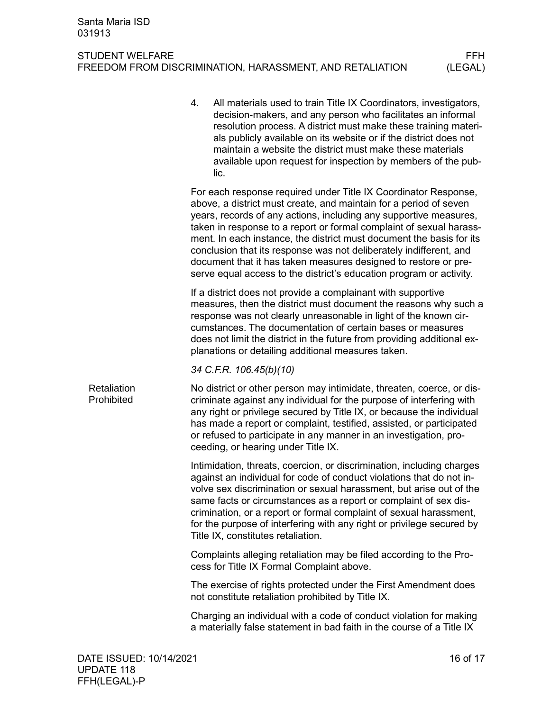<span id="page-15-0"></span>

|                           | 4.                                                                                                                                                                                                                                                                                                                                                                                                  | All materials used to train Title IX Coordinators, investigators,<br>decision-makers, and any person who facilitates an informal<br>resolution process. A district must make these training materi-<br>als publicly available on its website or if the district does not<br>maintain a website the district must make these materials<br>available upon request for inspection by members of the pub-<br>lic.                                                                                                                                                            |  |  |  |
|---------------------------|-----------------------------------------------------------------------------------------------------------------------------------------------------------------------------------------------------------------------------------------------------------------------------------------------------------------------------------------------------------------------------------------------------|--------------------------------------------------------------------------------------------------------------------------------------------------------------------------------------------------------------------------------------------------------------------------------------------------------------------------------------------------------------------------------------------------------------------------------------------------------------------------------------------------------------------------------------------------------------------------|--|--|--|
|                           |                                                                                                                                                                                                                                                                                                                                                                                                     | For each response required under Title IX Coordinator Response,<br>above, a district must create, and maintain for a period of seven<br>years, records of any actions, including any supportive measures,<br>taken in response to a report or formal complaint of sexual harass-<br>ment. In each instance, the district must document the basis for its<br>conclusion that its response was not deliberately indifferent, and<br>document that it has taken measures designed to restore or pre-<br>serve equal access to the district's education program or activity. |  |  |  |
|                           | If a district does not provide a complainant with supportive<br>measures, then the district must document the reasons why such a<br>response was not clearly unreasonable in light of the known cir-<br>cumstances. The documentation of certain bases or measures<br>does not limit the district in the future from providing additional ex-<br>planations or detailing additional measures taken. |                                                                                                                                                                                                                                                                                                                                                                                                                                                                                                                                                                          |  |  |  |
|                           |                                                                                                                                                                                                                                                                                                                                                                                                     | 34 C.F.R. 106.45(b)(10)                                                                                                                                                                                                                                                                                                                                                                                                                                                                                                                                                  |  |  |  |
| Retaliation<br>Prohibited |                                                                                                                                                                                                                                                                                                                                                                                                     | No district or other person may intimidate, threaten, coerce, or dis-<br>criminate against any individual for the purpose of interfering with<br>any right or privilege secured by Title IX, or because the individual<br>has made a report or complaint, testified, assisted, or participated<br>or refused to participate in any manner in an investigation, pro-<br>ceeding, or hearing under Title IX.                                                                                                                                                               |  |  |  |
|                           |                                                                                                                                                                                                                                                                                                                                                                                                     | Intimidation, threats, coercion, or discrimination, including charges<br>against an individual for code of conduct violations that do not in-<br>volve sex discrimination or sexual harassment, but arise out of the<br>same facts or circumstances as a report or complaint of sex dis-<br>crimination, or a report or formal complaint of sexual harassment,<br>for the purpose of interfering with any right or privilege secured by<br>Title IX, constitutes retaliation.                                                                                            |  |  |  |
|                           |                                                                                                                                                                                                                                                                                                                                                                                                     | Complaints alleging retaliation may be filed according to the Pro-<br>cess for Title IX Formal Complaint above.                                                                                                                                                                                                                                                                                                                                                                                                                                                          |  |  |  |
|                           |                                                                                                                                                                                                                                                                                                                                                                                                     | The exercise of rights protected under the First Amendment does<br>not constitute retaliation prohibited by Title IX.                                                                                                                                                                                                                                                                                                                                                                                                                                                    |  |  |  |
|                           |                                                                                                                                                                                                                                                                                                                                                                                                     | Charging an individual with a code of conduct violation for making<br>a materially false statement in bad faith in the course of a Title IX                                                                                                                                                                                                                                                                                                                                                                                                                              |  |  |  |